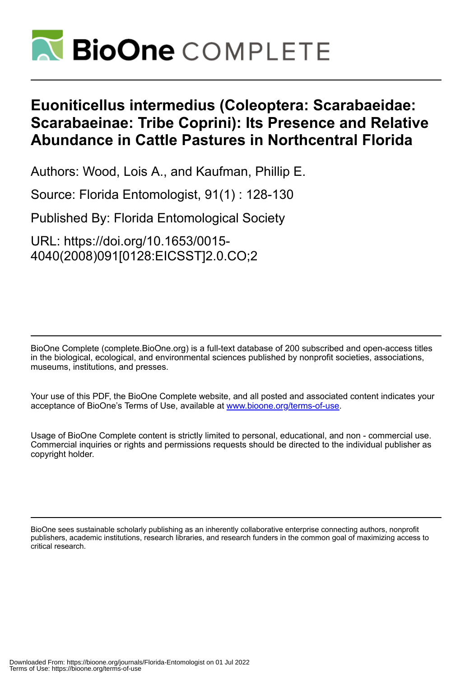

## **Euoniticellus intermedius (Coleoptera: Scarabaeidae: Scarabaeinae: Tribe Coprini): Its Presence and Relative Abundance in Cattle Pastures in Northcentral Florida**

Authors: Wood, Lois A., and Kaufman, Phillip E.

Source: Florida Entomologist, 91(1) : 128-130

Published By: Florida Entomological Society

URL: https://doi.org/10.1653/0015- 4040(2008)091[0128:EICSST]2.0.CO;2

BioOne Complete (complete.BioOne.org) is a full-text database of 200 subscribed and open-access titles in the biological, ecological, and environmental sciences published by nonprofit societies, associations, museums, institutions, and presses.

Your use of this PDF, the BioOne Complete website, and all posted and associated content indicates your acceptance of BioOne's Terms of Use, available at www.bioone.org/terms-of-use.

Usage of BioOne Complete content is strictly limited to personal, educational, and non - commercial use. Commercial inquiries or rights and permissions requests should be directed to the individual publisher as copyright holder.

BioOne sees sustainable scholarly publishing as an inherently collaborative enterprise connecting authors, nonprofit publishers, academic institutions, research libraries, and research funders in the common goal of maximizing access to critical research.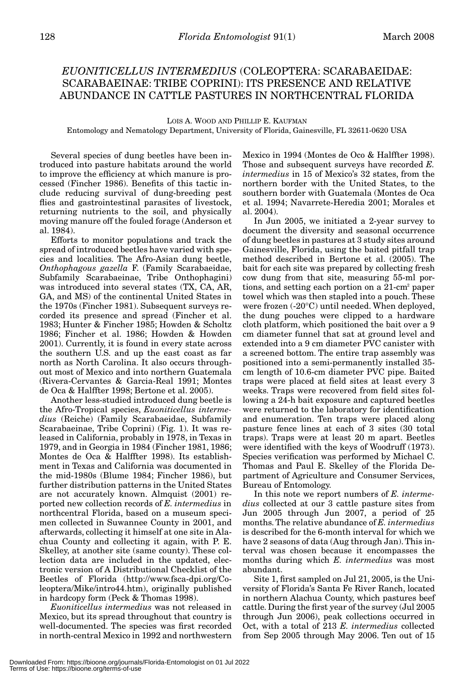## *EUONITICELLUS INTERMEDIUS* (COLEOPTERA: SCARABAEIDAE: SCARABAEINAE: TRIBE COPRINI): ITS PRESENCE AND RELATIVE ABUNDANCE IN CATTLE PASTURES IN NORTHCENTRAL FLORIDA

LOIS A. WOOD AND PHILLIP E. KAUFMAN Entomology and Nematology Department, University of Florida, Gainesville, FL 32611-0620 USA

Several species of dung beetles have been introduced into pasture habitats around the world to improve the efficiency at which manure is processed (Fincher 1986). Benefits of this tactic include reducing survival of dung-breeding pest flies and gastrointestinal parasites of livestock, returning nutrients to the soil, and physically moving manure off the fouled forage (Anderson et al. 1984).

Efforts to monitor populations and track the spread of introduced beetles have varied with species and localities. The Afro-Asian dung beetle, *Onthophagous gazella* F. (Family Scarabaeidae, Subfamily Scarabaeinae, Tribe Onthophagini) was introduced into several states (TX, CA, AR, GA, and MS) of the continental United States in the 1970s (Fincher 1981). Subsequent surveys recorded its presence and spread (Fincher et al. 1983; Hunter & Fincher 1985; Howden & Scholtz 1986; Fincher et al. 1986; Howden & Howden 2001). Currently, it is found in every state across the southern U.S. and up the east coast as far north as North Carolina. It also occurs throughout most of Mexico and into northern Guatemala (Rivera-Cervantes & Garcia-Real 1991; Montes de Oca & Halffter 1998; Bertone et al. 2005).

Another less-studied introduced dung beetle is the Afro-Tropical species, *Euoniticellus intermedius* (Reiche) (Family Scarabaeidae, Subfamily Scarabaeinae, Tribe Coprini) (Fig. 1). It was released in California, probably in 1978, in Texas in 1979, and in Georgia in 1984 (Fincher 1981, 1986; Montes de Oca & Halffter 1998). Its establishment in Texas and California was documented in the mid-1980s (Blume 1984; Fincher 1986), but further distribution patterns in the United States are not accurately known. Almquist (2001) reported new collection records of *E. intermedius* in northcentral Florida, based on a museum specimen collected in Suwannee County in 2001, and afterwards, collecting it himself at one site in Alachua County and collecting it again, with P. E. Skelley, at another site (same county). These collection data are included in the updated, electronic version of A Distributional Checklist of the Beetles of Florida (http://www.fsca-dpi.org/Coleoptera/Mike/intro44.htm), originally published in hardcopy form (Peck & Thomas 1998).

*Euoniticellus intermedius* was not released in Mexico, but its spread throughout that country is well-documented. The species was first recorded in north-central Mexico in 1992 and northwestern Mexico in 1994 (Montes de Oco & Halffter 1998). Those and subsequent surveys have recorded *E. intermedius* in 15 of Mexico's 32 states, from the northern border with the United States, to the southern border with Guatemala (Montes de Oca et al. 1994; Navarrete-Heredia 2001; Morales et al. 2004).

In Jun 2005, we initiated a 2-year survey to document the diversity and seasonal occurrence of dung beetles in pastures at 3 study sites around Gainesville, Florida, using the baited pitfall trap method described in Bertone et al. (2005). The bait for each site was prepared by collecting fresh cow dung from that site, measuring 55-ml portions, and setting each portion on a 21-cm2 paper towel which was then stapled into a pouch. These were frozen (-20°C) until needed. When deployed, the dung pouches were clipped to a hardware cloth platform, which positioned the bait over a 9 cm diameter funnel that sat at ground level and extended into a 9 cm diameter PVC canister with a screened bottom. The entire trap assembly was positioned into a semi-permanently installed 35 cm length of 10.6-cm diameter PVC pipe. Baited traps were placed at field sites at least every 3 weeks. Traps were recovered from field sites following a 24-h bait exposure and captured beetles were returned to the laboratory for identification and enumeration. Ten traps were placed along pasture fence lines at each of 3 sites (30 total traps). Traps were at least 20 m apart. Beetles were identified with the keys of Woodruff (1973). Species verification was performed by Michael C. Thomas and Paul E. Skelley of the Florida Department of Agriculture and Consumer Services, Bureau of Entomology.

In this note we report numbers of *E. intermedius* collected at our 3 cattle pasture sites from Jun 2005 through Jun 2007, a period of 25 months. The relative abundance of *E. intermedius* is described for the 6-month interval for which we have 2 seasons of data (Aug through Jan). This interval was chosen because it encompasses the months during which *E. intermedius* was most abundant.

Site 1, first sampled on Jul 21, 2005, is the University of Florida's Santa Fe River Ranch, located in northern Alachua County, which pastures beef cattle. During the first year of the survey (Jul 2005 through Jun 2006), peak collections occurred in Oct, with a total of 213 *E. intermedius* collected from Sep 2005 through May 2006. Ten out of 15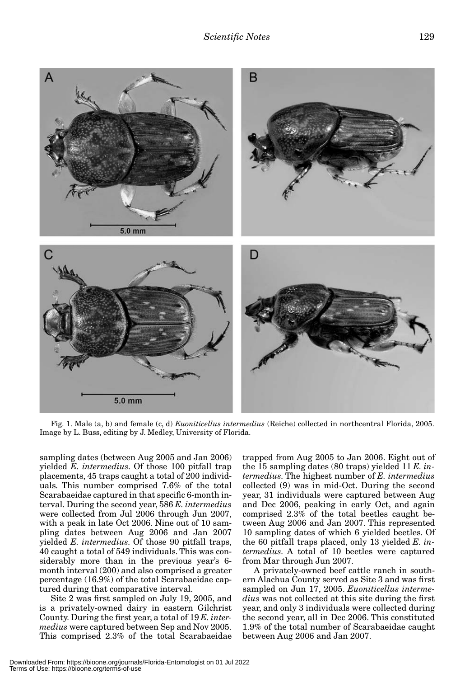

Fig. 1. Male (a, b) and female (c, d) *Euoniticellus intermedius* (Reiche) collected in northcentral Florida, 2005. Image by L. Buss, editing by J. Medley, University of Florida.

sampling dates (between Aug 2005 and Jan 2006) yielded *E. intermedius*. Of those 100 pitfall trap placements, 45 traps caught a total of 200 individuals. This number comprised 7.6% of the total Scarabaeidae captured in that specific 6-month interval. During the second year, 586 *E. intermedius* were collected from Jul 2006 through Jun 2007, with a peak in late Oct 2006. Nine out of 10 sampling dates between Aug 2006 and Jan 2007 yielded *E. intermedius*. Of those 90 pitfall traps, 40 caught a total of 549 individuals. This was considerably more than in the previous year's 6 month interval (200) and also comprised a greater percentage (16.9%) of the total Scarabaeidae captured during that comparative interval.

Site 2 was first sampled on July 19, 2005, and is a privately-owned dairy in eastern Gilchrist County. During the first year, a total of 19 *E. intermedius* were captured between Sep and Nov 2005. This comprised 2.3% of the total Scarabaeidae trapped from Aug 2005 to Jan 2006. Eight out of the 15 sampling dates (80 traps) yielded 11 *E. intermedius*. The highest number of *E. intermedius* collected (9) was in mid-Oct. During the second year, 31 individuals were captured between Aug and Dec 2006, peaking in early Oct, and again comprised 2.3% of the total beetles caught between Aug 2006 and Jan 2007. This represented 10 sampling dates of which 6 yielded beetles. Of the 60 pitfall traps placed, only 13 yielded *E. intermedius*. A total of 10 beetles were captured from Mar through Jun 2007.

A privately-owned beef cattle ranch in southern Alachua County served as Site 3 and was first sampled on Jun 17, 2005. *Euoniticellus intermedius* was not collected at this site during the first year, and only 3 individuals were collected during the second year, all in Dec 2006. This constituted 1.9% of the total number of Scarabaeidae caught between Aug 2006 and Jan 2007.